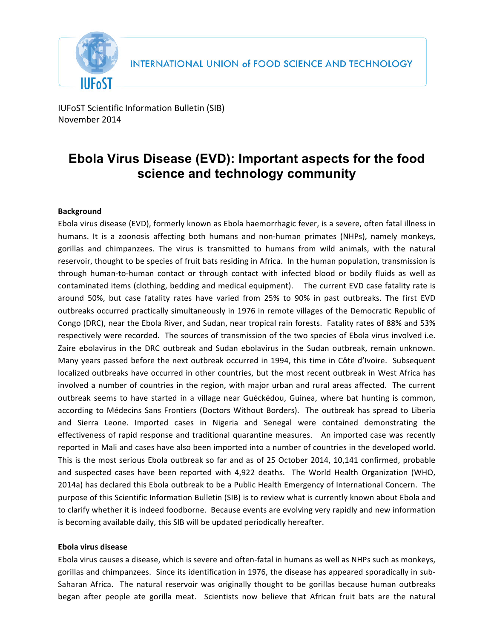

IUFoST Scientific Information Bulletin (SIB) November 2014

# **Ebola Virus Disease (EVD): Important aspects for the food science and technology community**

# **Background**

Ebola virus disease (EVD), formerly known as Ebola haemorrhagic fever, is a severe, often fatal illness in humans. It is a zoonosis affecting both humans and non-human primates (NHPs), namely monkeys, gorillas and chimpanzees. The virus is transmitted to humans from wild animals, with the natural reservoir, thought to be species of fruit bats residing in Africa. In the human population, transmission is through human-to-human contact or through contact with infected blood or bodily fluids as well as contaminated items (clothing, bedding and medical equipment). The current EVD case fatality rate is around 50%, but case fatality rates have varied from 25% to 90% in past outbreaks. The first EVD outbreaks occurred practically simultaneously in 1976 in remote villages of the Democratic Republic of Congo (DRC), near the Ebola River, and Sudan, near tropical rain forests. Fatality rates of 88% and 53% respectively were recorded. The sources of transmission of the two species of Ebola virus involved i.e. Zaire ebolavirus in the DRC outbreak and Sudan ebolavirus in the Sudan outbreak, remain unknown. Many years passed before the next outbreak occurred in 1994, this time in Côte d'Ivoire. Subsequent localized outbreaks have occurred in other countries, but the most recent outbreak in West Africa has involved a number of countries in the region, with major urban and rural areas affected. The current outbreak seems to have started in a village near Guéckédou, Guinea, where bat hunting is common, according to Médecins Sans Frontiers (Doctors Without Borders). The outbreak has spread to Liberia and Sierra Leone. Imported cases in Nigeria and Senegal were contained demonstrating the effectiveness of rapid response and traditional quarantine measures. An imported case was recently reported in Mali and cases have also been imported into a number of countries in the developed world. This is the most serious Ebola outbreak so far and as of 25 October 2014, 10,141 confirmed, probable and suspected cases have been reported with 4,922 deaths. The World Health Organization (WHO, 2014a) has declared this Ebola outbreak to be a Public Health Emergency of International Concern. The purpose of this Scientific Information Bulletin (SIB) is to review what is currently known about Ebola and to clarify whether it is indeed foodborne. Because events are evolving very rapidly and new information is becoming available daily, this SIB will be updated periodically hereafter.

## **Ebola virus disease**

Ebola virus causes a disease, which is severe and often-fatal in humans as well as NHPs such as monkeys, gorillas and chimpanzees. Since its identification in 1976, the disease has appeared sporadically in sub-Saharan Africa. The natural reservoir was originally thought to be gorillas because human outbreaks began after people ate gorilla meat. Scientists now believe that African fruit bats are the natural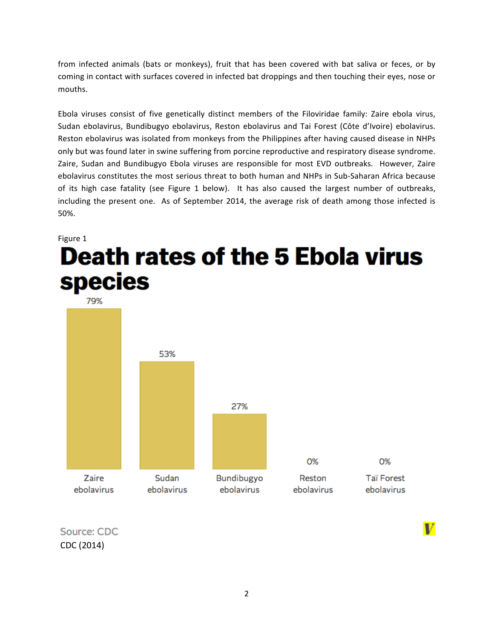from infected animals (bats or monkeys), fruit that has been covered with bat saliva or feces, or by coming in contact with surfaces covered in infected bat droppings and then touching their eyes, nose or mouths. 

Ebola viruses consist of five genetically distinct members of the Filoviridae family: Zaire ebola virus, Sudan ebolavirus, Bundibugyo ebolavirus, Reston ebolavirus and Tai Forest (Côte d'Ivoire) ebolavirus. Reston ebolavirus was isolated from monkeys from the Philippines after having caused disease in NHPs only but was found later in swine suffering from porcine reproductive and respiratory disease syndrome. Zaire, Sudan and Bundibugyo Ebola viruses are responsible for most EVD outbreaks. However, Zaire ebolavirus constitutes the most serious threat to both human and NHPs in Sub-Saharan Africa because of its high case fatality (see Figure 1 below). It has also caused the largest number of outbreaks, including the present one. As of September 2014, the average risk of death among those infected is 50%. 

# Figure 1 **Death rates of the 5 Ebola virus species**

79% 53% 27% 0% 0% Zaire Sudan Bundibugyo Reston **Taï Forest** ebolavirus ebolavirus ebolavirus ebolavirus ebolavirus

Source: CDC CDC (2014)

V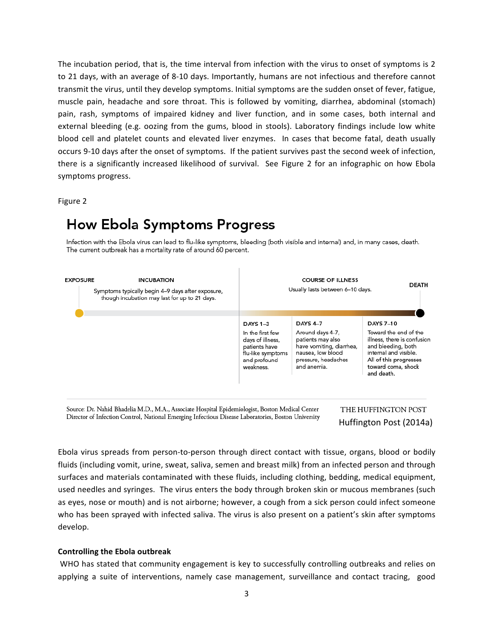The incubation period, that is, the time interval from infection with the virus to onset of symptoms is 2 to 21 days, with an average of 8-10 days. Importantly, humans are not infectious and therefore cannot transmit the virus, until they develop symptoms. Initial symptoms are the sudden onset of fever, fatigue, muscle pain, headache and sore throat. This is followed by vomiting, diarrhea, abdominal (stomach) pain, rash, symptoms of impaired kidney and liver function, and in some cases, both internal and external bleeding (e.g. oozing from the gums, blood in stools). Laboratory findings include low white blood cell and platelet counts and elevated liver enzymes. In cases that become fatal, death usually occurs 9-10 days after the onset of symptoms. If the patient survives past the second week of infection, there is a significantly increased likelihood of survival. See Figure 2 for an infographic on how Ebola symptoms progress.

Figure 2

# **How Ebola Symptoms Progress**

Infection with the Ebola virus can lead to flu-like symptoms, bleeding (both visible and internal) and, in many cases, death. The current outbreak has a mortality rate of around 60 percent.



Source: Dr. Nahid Bhadelia M.D., M.A., Associate Hospital Epidemiologist, Boston Medical Center Director of Infection Control, National Emerging Infectious Disease Laboratories, Boston University THE HUFFINGTON POST Huffington Post (2014a)

Ebola virus spreads from person-to-person through direct contact with tissue, organs, blood or bodily fluids (including vomit, urine, sweat, saliva, semen and breast milk) from an infected person and through surfaces and materials contaminated with these fluids, including clothing, bedding, medical equipment, used needles and syringes. The virus enters the body through broken skin or mucous membranes (such as eyes, nose or mouth) and is not airborne; however, a cough from a sick person could infect someone who has been sprayed with infected saliva. The virus is also present on a patient's skin after symptoms develop. 

#### **Controlling the Ebola outbreak**

WHO has stated that community engagement is key to successfully controlling outbreaks and relies on applying a suite of interventions, namely case management, surveillance and contact tracing, good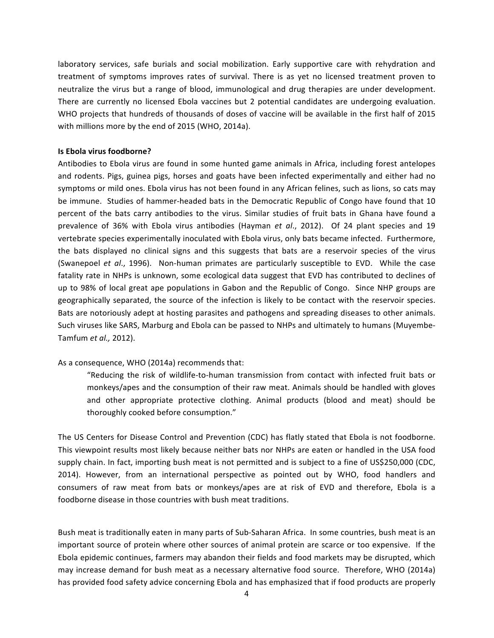laboratory services, safe burials and social mobilization. Early supportive care with rehydration and treatment of symptoms improves rates of survival. There is as yet no licensed treatment proven to neutralize the virus but a range of blood, immunological and drug therapies are under development. There are currently no licensed Ebola vaccines but 2 potential candidates are undergoing evaluation. WHO projects that hundreds of thousands of doses of vaccine will be available in the first half of 2015 with millions more by the end of 2015 (WHO, 2014a).

#### **Is Ebola virus foodborne?**

Antibodies to Ebola virus are found in some hunted game animals in Africa, including forest antelopes and rodents. Pigs, guinea pigs, horses and goats have been infected experimentally and either had no symptoms or mild ones. Ebola virus has not been found in any African felines, such as lions, so cats may be immune. Studies of hammer-headed bats in the Democratic Republic of Congo have found that 10 percent of the bats carry antibodies to the virus. Similar studies of fruit bats in Ghana have found a prevalence of 36% with Ebola virus antibodies (Hayman *et al.*, 2012). Of 24 plant species and 19 vertebrate species experimentally inoculated with Ebola virus, only bats became infected. Furthermore, the bats displayed no clinical signs and this suggests that bats are a reservoir species of the virus (Swanepoel *et al.*, 1996). Non-human primates are particularly susceptible to EVD. While the case fatality rate in NHPs is unknown, some ecological data suggest that EVD has contributed to declines of up to 98% of local great ape populations in Gabon and the Republic of Congo. Since NHP groups are geographically separated, the source of the infection is likely to be contact with the reservoir species. Bats are notoriously adept at hosting parasites and pathogens and spreading diseases to other animals. Such viruses like SARS, Marburg and Ebola can be passed to NHPs and ultimately to humans (Muyembe-Tamfum *et al.,* 2012).

#### As a consequence, WHO (2014a) recommends that:

"Reducing the risk of wildlife-to-human transmission from contact with infected fruit bats or monkeys/apes and the consumption of their raw meat. Animals should be handled with gloves and other appropriate protective clothing. Animal products (blood and meat) should be thoroughly cooked before consumption."

The US Centers for Disease Control and Prevention (CDC) has flatly stated that Ebola is not foodborne. This viewpoint results most likely because neither bats nor NHPs are eaten or handled in the USA food supply chain. In fact, importing bush meat is not permitted and is subject to a fine of US\$250,000 (CDC, 2014). However, from an international perspective as pointed out by WHO, food handlers and consumers of raw meat from bats or monkeys/apes are at risk of EVD and therefore, Ebola is a foodborne disease in those countries with bush meat traditions.

Bush meat is traditionally eaten in many parts of Sub-Saharan Africa. In some countries, bush meat is an important source of protein where other sources of animal protein are scarce or too expensive. If the Ebola epidemic continues, farmers may abandon their fields and food markets may be disrupted, which may increase demand for bush meat as a necessary alternative food source. Therefore, WHO (2014a) has provided food safety advice concerning Ebola and has emphasized that if food products are properly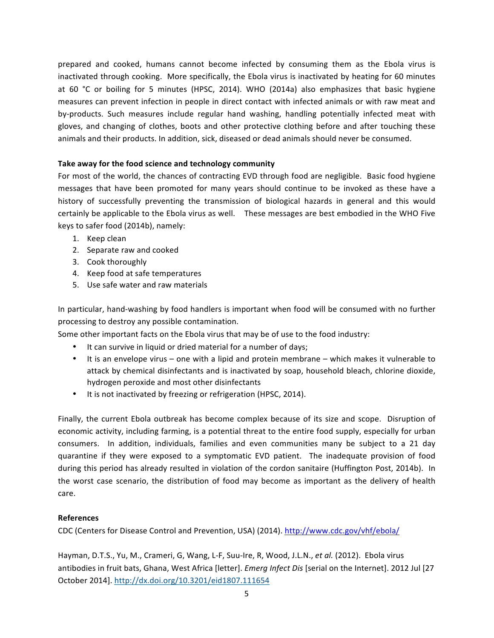prepared and cooked, humans cannot become infected by consuming them as the Ebola virus is inactivated through cooking. More specifically, the Ebola virus is inactivated by heating for 60 minutes at 60 °C or boiling for 5 minutes (HPSC, 2014). WHO (2014a) also emphasizes that basic hygiene measures can prevent infection in people in direct contact with infected animals or with raw meat and by-products. Such measures include regular hand washing, handling potentially infected meat with gloves, and changing of clothes, boots and other protective clothing before and after touching these animals and their products. In addition, sick, diseased or dead animals should never be consumed.

# Take away for the food science and technology community

For most of the world, the chances of contracting EVD through food are negligible. Basic food hygiene messages that have been promoted for many years should continue to be invoked as these have a history of successfully preventing the transmission of biological hazards in general and this would certainly be applicable to the Ebola virus as well. These messages are best embodied in the WHO Five keys to safer food (2014b), namely:

- 1. Keep clean
- 2. Separate raw and cooked
- 3. Cook thoroughly
- 4. Keep food at safe temperatures
- 5. Use safe water and raw materials

In particular, hand-washing by food handlers is important when food will be consumed with no further processing to destroy any possible contamination.

Some other important facts on the Ebola virus that may be of use to the food industry:

- It can survive in liquid or dried material for a number of days;
- It is an envelope virus one with a lipid and protein membrane which makes it vulnerable to attack by chemical disinfectants and is inactivated by soap, household bleach, chlorine dioxide, hydrogen peroxide and most other disinfectants
- It is not inactivated by freezing or refrigeration (HPSC, 2014).

Finally, the current Ebola outbreak has become complex because of its size and scope. Disruption of economic activity, including farming, is a potential threat to the entire food supply, especially for urban consumers. In addition, individuals, families and even communities many be subject to a 21 day quarantine if they were exposed to a symptomatic EVD patient. The inadequate provision of food during this period has already resulted in violation of the cordon sanitaire (Huffington Post, 2014b). In the worst case scenario, the distribution of food may become as important as the delivery of health care. 

## **References**

CDC (Centers for Disease Control and Prevention, USA) (2014). http://www.cdc.gov/vhf/ebola/

Hayman, D.T.S., Yu, M., Crameri, G, Wang, L-F, Suu-Ire, R, Wood, J.L.N., et al. (2012). Ebola virus antibodies in fruit bats, Ghana, West Africa [letter]. *Emerg Infect Dis* [serial on the Internet]. 2012 Jul [27 October 2014]. http://dx.doi.org/10.3201/eid1807.111654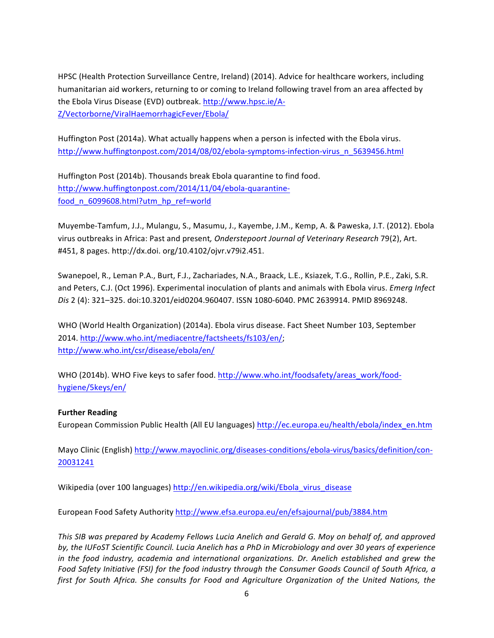HPSC (Health Protection Surveillance Centre, Ireland) (2014). Advice for healthcare workers, including humanitarian aid workers, returning to or coming to Ireland following travel from an area affected by the Ebola Virus Disease (EVD) outbreak. http://www.hpsc.ie/A-Z/Vectorborne/ViralHaemorrhagicFever/Ebola/

Huffington Post (2014a). What actually happens when a person is infected with the Ebola virus. http://www.huffingtonpost.com/2014/08/02/ebola-symptoms-infection-virus\_n\_5639456.html

Huffington Post (2014b). Thousands break Ebola quarantine to find food. http://www.huffingtonpost.com/2014/11/04/ebola-quarantinefood\_n\_6099608.html?utm\_hp\_ref=world

Muyembe-Tamfum, J.J., Mulangu, S., Masumu, J., Kayembe, J.M., Kemp, A. & Paweska, J.T. (2012). Ebola virus outbreaks in Africa: Past and present, Onderstepoort Journal of Veterinary Research 79(2), Art. #451, 8 pages. http://dx.doi. org/10.4102/ojvr.v79i2.451.

Swanepoel, R., Leman P.A., Burt, F.J., Zachariades, N.A., Braack, L.E., Ksiazek, T.G., Rollin, P.E., Zaki, S.R. and Peters, C.J. (Oct 1996). Experimental inoculation of plants and animals with Ebola virus. *Emerg Infect* Dis 2 (4): 321-325. doi:10.3201/eid0204.960407. ISSN 1080-6040. PMC 2639914. PMID 8969248.

WHO (World Health Organization) (2014a). Ebola virus disease. Fact Sheet Number 103, September 2014. http://www.who.int/mediacentre/factsheets/fs103/en/; http://www.who.int/csr/disease/ebola/en/

WHO (2014b). WHO Five keys to safer food. http://www.who.int/foodsafety/areas\_work/foodhygiene/5keys/en/

## **Further Reading**

European Commission Public Health (All EU languages) http://ec.europa.eu/health/ebola/index\_en.htm

Mayo Clinic (English) http://www.mayoclinic.org/diseases-conditions/ebola-virus/basics/definition/con-20031241

Wikipedia (over 100 languages) http://en.wikipedia.org/wiki/Ebola\_virus\_disease

European Food Safety Authority http://www.efsa.europa.eu/en/efsajournal/pub/3884.htm

This SIB was prepared by Academy Fellows Lucia Anelich and Gerald G. Moy on behalf of, and approved by, the IUFoST Scientific Council. Lucia Anelich has a PhD in Microbiology and over 30 years of experience *in* the food industry, academia and international organizations. Dr. Anelich established and grew the *Food Safety Initiative (FSI) for the food industry through the Consumer Goods Council of South Africa, a first for South Africa. She consults for Food and Agriculture Organization of the United Nations, the*